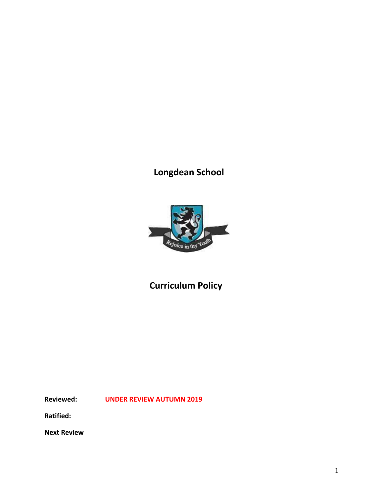# **Longdean School**



# **Curriculum Policy**

**Reviewed: UNDER REVIEW AUTUMN 2019**

**Ratified:**

**Next Review**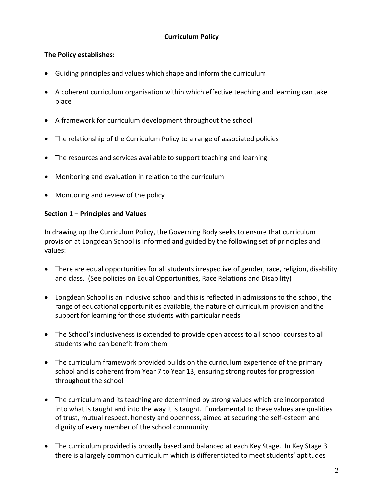## **Curriculum Policy**

#### **The Policy establishes:**

- Guiding principles and values which shape and inform the curriculum
- A coherent curriculum organisation within which effective teaching and learning can take place
- A framework for curriculum development throughout the school
- The relationship of the Curriculum Policy to a range of associated policies
- The resources and services available to support teaching and learning
- Monitoring and evaluation in relation to the curriculum
- Monitoring and review of the policy

#### **Section 1 – Principles and Values**

In drawing up the Curriculum Policy, the Governing Body seeks to ensure that curriculum provision at Longdean School is informed and guided by the following set of principles and values:

- There are equal opportunities for all students irrespective of gender, race, religion, disability and class. (See policies on Equal Opportunities, Race Relations and Disability)
- Longdean School is an inclusive school and this is reflected in admissions to the school, the range of educational opportunities available, the nature of curriculum provision and the support for learning for those students with particular needs
- The School's inclusiveness is extended to provide open access to all school courses to all students who can benefit from them
- The curriculum framework provided builds on the curriculum experience of the primary school and is coherent from Year 7 to Year 13, ensuring strong routes for progression throughout the school
- The curriculum and its teaching are determined by strong values which are incorporated into what is taught and into the way it is taught. Fundamental to these values are qualities of trust, mutual respect, honesty and openness, aimed at securing the self-esteem and dignity of every member of the school community
- The curriculum provided is broadly based and balanced at each Key Stage. In Key Stage 3 there is a largely common curriculum which is differentiated to meet students' aptitudes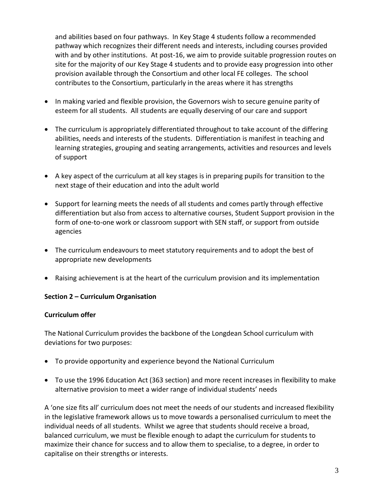and abilities based on four pathways. In Key Stage 4 students follow a recommended pathway which recognizes their different needs and interests, including courses provided with and by other institutions. At post-16, we aim to provide suitable progression routes on site for the majority of our Key Stage 4 students and to provide easy progression into other provision available through the Consortium and other local FE colleges. The school contributes to the Consortium, particularly in the areas where it has strengths

- In making varied and flexible provision, the Governors wish to secure genuine parity of esteem for all students. All students are equally deserving of our care and support
- The curriculum is appropriately differentiated throughout to take account of the differing abilities, needs and interests of the students. Differentiation is manifest in teaching and learning strategies, grouping and seating arrangements, activities and resources and levels of support
- A key aspect of the curriculum at all key stages is in preparing pupils for transition to the next stage of their education and into the adult world
- Support for learning meets the needs of all students and comes partly through effective differentiation but also from access to alternative courses, Student Support provision in the form of one-to-one work or classroom support with SEN staff, or support from outside agencies
- The curriculum endeavours to meet statutory requirements and to adopt the best of appropriate new developments
- Raising achievement is at the heart of the curriculum provision and its implementation

#### **Section 2 – Curriculum Organisation**

#### **Curriculum offer**

The National Curriculum provides the backbone of the Longdean School curriculum with deviations for two purposes:

- To provide opportunity and experience beyond the National Curriculum
- To use the 1996 Education Act (363 section) and more recent increases in flexibility to make alternative provision to meet a wider range of individual students' needs

A 'one size fits all' curriculum does not meet the needs of our students and increased flexibility in the legislative framework allows us to move towards a personalised curriculum to meet the individual needs of all students. Whilst we agree that students should receive a broad, balanced curriculum, we must be flexible enough to adapt the curriculum for students to maximize their chance for success and to allow them to specialise, to a degree, in order to capitalise on their strengths or interests.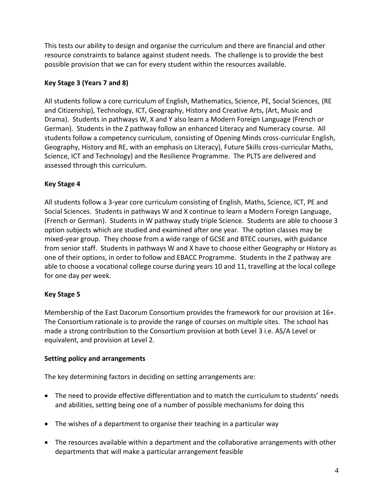This tests our ability to design and organise the curriculum and there are financial and other resource constraints to balance against student needs. The challenge is to provide the best possible provision that we can for every student within the resources available.

# **Key Stage 3 (Years 7 and 8)**

All students follow a core curriculum of English, Mathematics, Science, PE, Social Sciences, (RE and Citizenship), Technology, ICT, Geography, History and Creative Arts, (Art, Music and Drama). Students in pathways W, X and Y also learn a Modern Foreign Language (French or German). Students in the Z pathway follow an enhanced Literacy and Numeracy course. All students follow a competency curriculum, consisting of Opening Minds cross-curricular English, Geography, History and RE, with an emphasis on Literacy), Future Skills cross-curricular Maths, Science, ICT and Technology) and the Resilience Programme. The PLTS are delivered and assessed through this curriculum.

## **Key Stage 4**

All students follow a 3-year core curriculum consisting of English, Maths, Science, ICT, PE and Social Sciences. Students in pathways W and X continue to learn a Modern Foreign Language, (French or German). Students in W pathway study triple Science. Students are able to choose 3 option subjects which are studied and examined after one year. The option classes may be mixed-year group. They choose from a wide range of GCSE and BTEC courses, with guidance from senior staff. Students in pathways W and X have to choose either Geography or History as one of their options, in order to follow and EBACC Programme. Students in the Z pathway are able to choose a vocational college course during years 10 and 11, travelling at the local college for one day per week.

#### **Key Stage 5**

Membership of the East Dacorum Consortium provides the framework for our provision at 16+. The Consortium rationale is to provide the range of courses on multiple sites. The school has made a strong contribution to the Consortium provision at both Level 3 i.e. AS/A Level or equivalent, and provision at Level 2.

#### **Setting policy and arrangements**

The key determining factors in deciding on setting arrangements are:

- The need to provide effective differentiation and to match the curriculum to students' needs and abilities, setting being one of a number of possible mechanisms for doing this
- The wishes of a department to organise their teaching in a particular way
- The resources available within a department and the collaborative arrangements with other departments that will make a particular arrangement feasible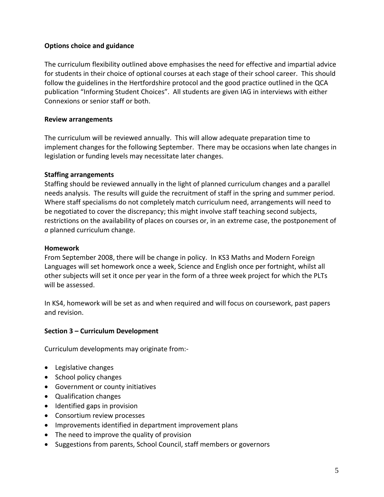#### **Options choice and guidance**

The curriculum flexibility outlined above emphasises the need for effective and impartial advice for students in their choice of optional courses at each stage of their school career. This should follow the guidelines in the Hertfordshire protocol and the good practice outlined in the QCA publication "Informing Student Choices". All students are given IAG in interviews with either Connexions or senior staff or both.

#### **Review arrangements**

The curriculum will be reviewed annually. This will allow adequate preparation time to implement changes for the following September. There may be occasions when late changes in legislation or funding levels may necessitate later changes.

#### **Staffing arrangements**

Staffing should be reviewed annually in the light of planned curriculum changes and a parallel needs analysis. The results will guide the recruitment of staff in the spring and summer period. Where staff specialisms do not completely match curriculum need, arrangements will need to be negotiated to cover the discrepancy; this might involve staff teaching second subjects, restrictions on the availability of places on courses or, in an extreme case, the postponement of *a* planned curriculum change.

#### **Homework**

From September 2008, there will be change in policy. In KS3 Maths and Modern Foreign Languages will set homework once a week, Science and English once per fortnight, whilst all other subjects will set it once per year in the form of a three week project for which the PLTs will be assessed.

In KS4, homework will be set as and when required and will focus on coursework, past papers and revision.

#### **Section 3 – Curriculum Development**

Curriculum developments may originate from:-

- Legislative changes
- School policy changes
- Government or county initiatives
- Qualification changes
- Identified gaps in provision
- Consortium review processes
- Improvements identified in department improvement plans
- The need to improve the quality of provision
- Suggestions from parents, School Council, staff members or governors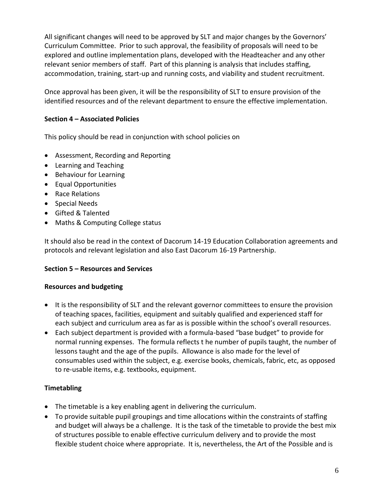All significant changes will need to be approved by SLT and major changes by the Governors' Curriculum Committee. Prior to such approval, the feasibility of proposals will need to be explored and outline implementation plans, developed with the Headteacher and any other relevant senior members of staff. Part of this planning is analysis that includes staffing, accommodation, training, start-up and running costs, and viability and student recruitment.

Once approval has been given, it will be the responsibility of SLT to ensure provision of the identified resources and of the relevant department to ensure the effective implementation.

## **Section 4 – Associated Policies**

This policy should be read in conjunction with school policies on

- Assessment, Recording and Reporting
- Learning and Teaching
- Behaviour for Learning
- Equal Opportunities
- Race Relations
- Special Needs
- Gifted & Talented
- Maths & Computing College status

It should also be read in the context of Dacorum 14-19 Education Collaboration agreements and protocols and relevant legislation and also East Dacorum 16-19 Partnership.

#### **Section 5 – Resources and Services**

#### **Resources and budgeting**

- It is the responsibility of SLT and the relevant governor committees to ensure the provision of teaching spaces, facilities, equipment and suitably qualified and experienced staff for each subject and curriculum area as far as is possible within the school's overall resources.
- Each subject department is provided with a formula-based "base budget" to provide for normal running expenses. The formula reflects t he number of pupils taught, the number of lessons taught and the age of the pupils. Allowance is also made for the level of consumables used within the subject, e.g. exercise books, chemicals, fabric, etc, as opposed to re-usable items, e.g. textbooks, equipment.

# **Timetabling**

- The timetable is a key enabling agent in delivering the curriculum.
- To provide suitable pupil groupings and time allocations within the constraints of staffing and budget will always be a challenge. It is the task of the timetable to provide the best mix of structures possible to enable effective curriculum delivery and to provide the most flexible student choice where appropriate. It is, nevertheless, the Art of the Possible and is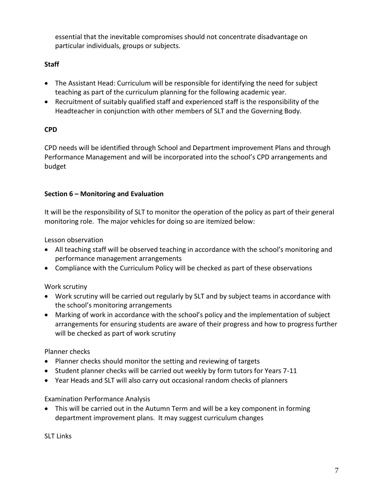essential that the inevitable compromises should not concentrate disadvantage on particular individuals, groups or subjects.

# **Staff**

- The Assistant Head: Curriculum will be responsible for identifying the need for subject teaching as part of the curriculum planning for the following academic year.
- Recruitment of suitably qualified staff and experienced staff is the responsibility of the Headteacher in conjunction with other members of SLT and the Governing Body.

# **CPD**

CPD needs will be identified through School and Department improvement Plans and through Performance Management and will be incorporated into the school's CPD arrangements and budget

## **Section 6 – Monitoring and Evaluation**

It will be the responsibility of SLT to monitor the operation of the policy as part of their general monitoring role. The major vehicles for doing so are itemized below:

Lesson observation

- All teaching staff will be observed teaching in accordance with the school's monitoring and performance management arrangements
- Compliance with the Curriculum Policy will be checked as part of these observations

# Work scrutiny

- Work scrutiny will be carried out regularly by SLT and by subject teams in accordance with the school's monitoring arrangements
- Marking of work in accordance with the school's policy and the implementation of subject arrangements for ensuring students are aware of their progress and how to progress further will be checked as part of work scrutiny

# Planner checks

- Planner checks should monitor the setting and reviewing of targets
- Student planner checks will be carried out weekly by form tutors for Years 7-11
- Year Heads and SLT will also carry out occasional random checks of planners

# Examination Performance Analysis

 This will be carried out in the Autumn Term and will be a key component in forming department improvement plans. It may suggest curriculum changes

SLT Links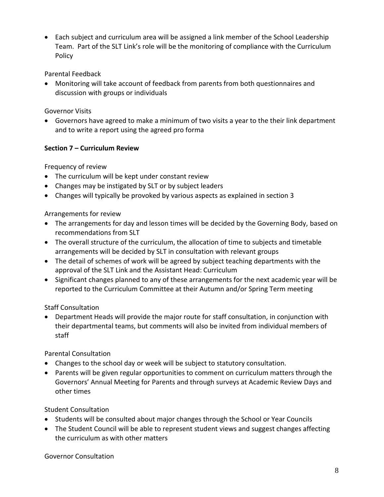Each subject and curriculum area will be assigned a link member of the School Leadership Team. Part of the SLT Link's role will be the monitoring of compliance with the Curriculum Policy

## Parental Feedback

 Monitoring will take account of feedback from parents from both questionnaires and discussion with groups or individuals

## Governor Visits

 Governors have agreed to make a minimum of two visits a year to the their link department and to write a report using the agreed pro forma

## **Section 7 – Curriculum Review**

Frequency of review

- The curriculum will be kept under constant review
- Changes may be instigated by SLT or by subject leaders
- Changes will typically be provoked by various aspects as explained in section 3

## Arrangements for review

- The arrangements for day and lesson times will be decided by the Governing Body, based on recommendations from SLT
- The overall structure of the curriculum, the allocation of time to subjects and timetable arrangements will be decided by SLT in consultation with relevant groups
- The detail of schemes of work will be agreed by subject teaching departments with the approval of the SLT Link and the Assistant Head: Curriculum
- Significant changes planned to any of these arrangements for the next academic year will be reported to the Curriculum Committee at their Autumn and/or Spring Term meeting

# Staff Consultation

 Department Heads will provide the major route for staff consultation, in conjunction with their departmental teams, but comments will also be invited from individual members of staff

# Parental Consultation

- Changes to the school day or week will be subject to statutory consultation.
- Parents will be given regular opportunities to comment on curriculum matters through the Governors' Annual Meeting for Parents and through surveys at Academic Review Days and other times

# Student Consultation

- Students will be consulted about major changes through the School or Year Councils
- The Student Council will be able to represent student views and suggest changes affecting the curriculum as with other matters

#### Governor Consultation